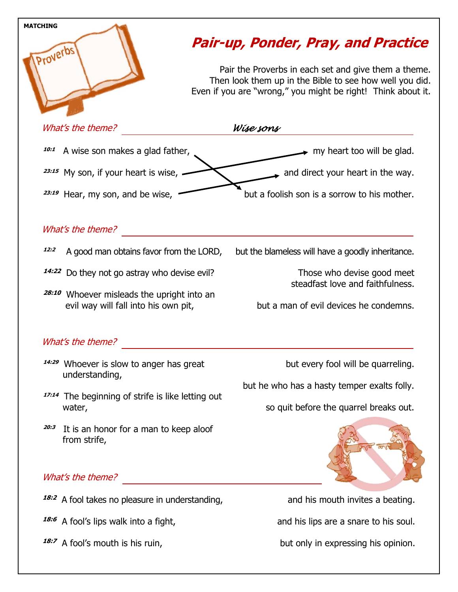

**18:7** A fool's mouth is his ruin,

but only in expressing his opinion.